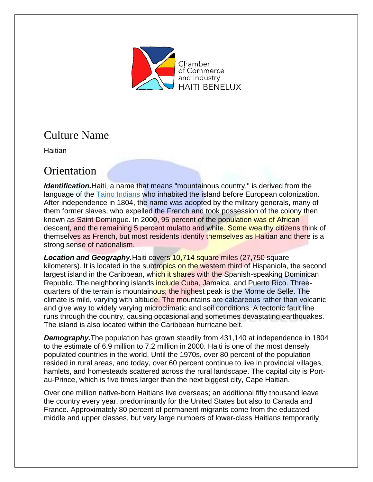

# Culture Name

**Haitian** 

## **Orientation**

*Identification.*Haiti, a name that means "mountainous country," is derived from the language of the [Taino Indians](http://www.everyculture.com/knowledge/Ta_no_people.html) who inhabited the island before European colonization. After independence in 1804, the name was adopted by the military generals, many of them former slaves, who expelled the French and took possession of the colony then known as Saint Domingue. In 2000, 95 percent of the population was of African descent, and the remaining 5 percent mulatto and white. Some wealthy citizens think of themselves as French, but most residents identify themselves as Haitian and there is a strong sense of nationalism.

**Location and Geography.** Haiti covers 10,714 square miles (27,750 square kilometers). It is located in the subtropics on the western third of Hispaniola, the second largest island in the Caribbean, which it shares with the Spanish-speaking Dominican Republic. The neighboring islands include Cuba, Jamaica, and Puerto Rico. Threequarters of the terrain is mountainous; the highest peak is the Morne de Selle. The climate is mild, varying with altitude. The mountains are calcareous rather than volcanic and give way to widely varying microclimatic and soil conditions. A tectonic fault line runs through the country, causing occasional and sometimes devastating earthquakes. The island is also located within the Caribbean hurricane belt.

*Demography.*The population has grown steadily from 431,140 at independence in 1804 to the estimate of 6.9 million to 7.2 million in 2000. Haiti is one of the most densely populated countries in the world. Until the 1970s, over 80 percent of the population resided in rural areas, and today, over 60 percent continue to live in provincial villages, hamlets, and homesteads scattered across the rural landscape. The capital city is Portau-Prince, which is five times larger than the next biggest city, Cape Haitian.

Over one million native-born Haitians live overseas; an additional fifty thousand leave the country every year, predominantly for the United States but also to Canada and France. Approximately 80 percent of permanent migrants come from the educated middle and upper classes, but very large numbers of lower-class Haitians temporarily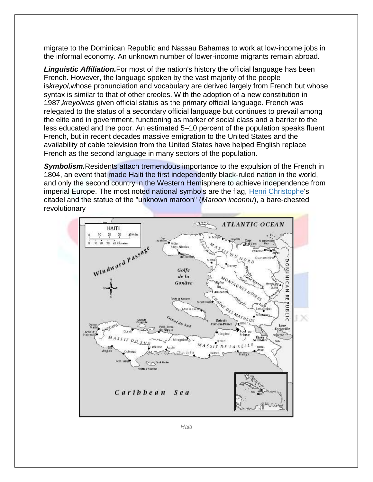migrate to the Dominican Republic and Nassau Bahamas to work at low-income jobs in the informal economy. An unknown number of lower-income migrants remain abroad.

*Linguistic Affiliation.*For most of the nation's history the official language has been French. However, the language spoken by the vast majority of the people is*kreyol,*whose pronunciation and vocabulary are derived largely from French but whose syntax is similar to that of other creoles. With the adoption of a new constitution in 1987,*kreyol*was given official status as the primary official language. French was relegated to the status of a secondary official language but continues to prevail among the elite and in government, functioning as marker of social class and a barrier to the less educated and the poor. An estimated 5–10 percent of the population speaks fluent French, but in recent decades massive emigration to the United States and the availability of cable television from the United States have helped English replace French as the second language in many sectors of the population.

*Symbolism.*Residents attach tremendous importance to the expulsion of the French in 1804, an event that made Haiti the first independently black-ruled nation in the world, and only the second country in the Western Hemisphere to achieve independence from imperial Europe. The most noted national symbols are the flag, [Henri Christophe'](http://www.everyculture.com/knowledge/Henri_Christophe.html)s citadel and the statue of the "unknown maroon" (*Maroon inconnu*), a bare-chested revolutionary



*Haiti*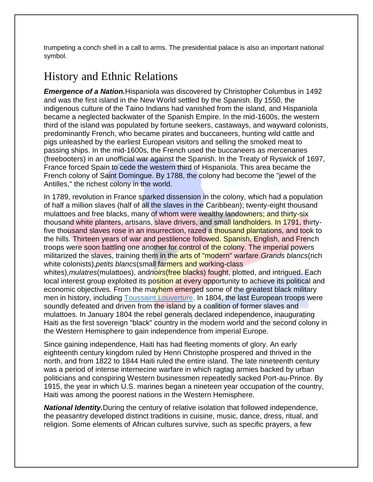trumpeting a conch shell in a call to arms. The presidential palace is also an important national symbol.

#### History and Ethnic Relations

*Emergence of a Nation.*Hispaniola was discovered by Christopher Columbus in 1492 and was the first island in the New World settled by the Spanish. By 1550, the indigenous culture of the Taino Indians had vanished from the island, and Hispaniola became a neglected backwater of the Spanish Empire. In the mid-1600s, the western third of the island was populated by fortune seekers, castaways, and wayward colonists, predominantly French, who became pirates and buccaneers, hunting wild cattle and pigs unleashed by the earliest European visitors and selling the smoked meat to passing ships. In the mid-1600s, the French used the buccaneers as mercenaries (freebooters) in an unofficial war against the Spanish. In the Treaty of Ryswick of 1697, France forced Spain to cede the western third of Hispaniola. This area became the French colony of Saint Domingue. By 1788, the colony had become the "jewel of the Antilles," the richest colony in the world.

In 1789, revolution in France sparked dissension in the colony, which had a population of half a million slaves (half of all the slaves in the Caribbean); twenty-eight thousand mulattoes and free blacks, many of whom were wealthy landowners; and thirty-six thousand white planters, artisans, slave drivers, and small landholders. In 1791, thirtyfive thousand slaves rose in an insurrection, razed a thousand plantations, and took to the hills. Thirteen years of war and pestilence followed. Spanish, English, and French troops were soon battling one another for control of the colony. The imperial powers militarized the slaves, training them in the arts of "modern" warfare.*Grands blancs*(rich white colonists),*petits blancs*(small farmers and working-class

whites),*mulatres*(mulattoes), and*noirs*(free blacks) fought, plotted, and intrigued. Each local interest group exploited its position at every opportunity to achieve its political and economic objectives. From the mayhem emerged some of the greatest black military men in history, including [Toussaint Louverture.](http://www.everyculture.com/knowledge/Toussaint_Louverture.html) In 1804, the last European troops were soundly defeated and driven from the island by a coalition of former slaves and mulattoes. In January 1804 the rebel generals declared independence, inaugurating Haiti as the first sovereign "black" country in the modern world and the second colony in the Western Hemisphere to gain independence from imperial Europe.

Since gaining independence, Haiti has had fleeting moments of glory. An early eighteenth century kingdom ruled by Henri Christophe prospered and thrived in the north, and from 1822 to 1844 Haiti ruled the entire island. The late nineteenth century was a period of intense internecine warfare in which ragtag armies backed by urban politicians and conspiring Western businessmen repeatedly sacked Port-au-Prince. By 1915, the year in which U.S. marines began a nineteen year occupation of the country, Haiti was among the poorest nations in the Western Hemisphere.

*National Identity.*During the century of relative isolation that followed independence, the peasantry developed distinct traditions in cuisine, music, dance, dress, ritual, and religion. Some elements of African cultures survive, such as specific prayers, a few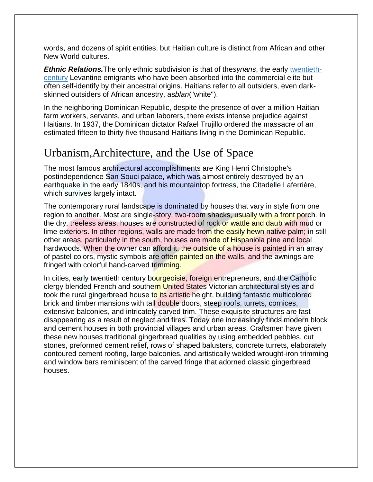words, and dozens of spirit entities, but Haitian culture is distinct from African and other New World cultures.

*Ethnic Relations.*The only ethnic subdivision is that of the*syrians*, the early [twentieth](http://www.everyculture.com/knowledge/20th_century.html)[century](http://www.everyculture.com/knowledge/20th_century.html) Levantine emigrants who have been absorbed into the commercial elite but often self-identify by their ancestral origins. Haitians refer to all outsiders, even darkskinned outsiders of African ancestry, as*blan*("white").

In the neighboring Dominican Republic, despite the presence of over a million Haitian farm workers, servants, and urban laborers, there exists intense prejudice against Haitians. In 1937, the Dominican dictator Rafael Trujillo ordered the massacre of an estimated fifteen to thirty-five thousand Haitians living in the Dominican Republic.

#### Urbanism,Architecture, and the Use of Space

The most famous architectural accomplishments are King Henri Christophe's postindependence San Souci palace, which was almost entirely destroyed by an earthquake in the early 1840s, and his mountaintop fortress, the Citadelle Laferrière, which survives largely intact.

The contemporary rural landscape is dominated by houses that vary in style from one region to another. Most are single-story, two-room shacks, usually with a front porch. In the dry, treeless areas, houses are constructed of rock or wattle and daub with mud or lime exteriors. In other regions, walls are made from the easily hewn native palm; in still other areas, particularly in the south, houses are made of Hispaniola pine and local hardwoods. When the owner can afford it, the outside of a house is painted in an array of pastel colors, mystic symbols are often painted on the walls, and the awnings are fringed with colorful hand-carved trimming.

In cities, early twentieth century bourgeoisie, foreign entrepreneurs, and the Catholic clergy blended French and southern United States Victorian architectural styles and took the rural gingerbread house to its artistic height, building fantastic multicolored brick and timber mansions with tall double doors, steep roofs, turrets, cornices, extensive balconies, and intricately carved trim. These exquisite structures are fast disappearing as a result of neglect and fires. Today one increasingly finds modern block and cement houses in both provincial villages and urban areas. Craftsmen have given these new houses traditional gingerbread qualities by using embedded pebbles, cut stones, preformed cement relief, rows of shaped balusters, concrete turrets, elaborately contoured cement roofing, large balconies, and artistically welded wrought-iron trimming and window bars reminiscent of the carved fringe that adorned classic gingerbread houses.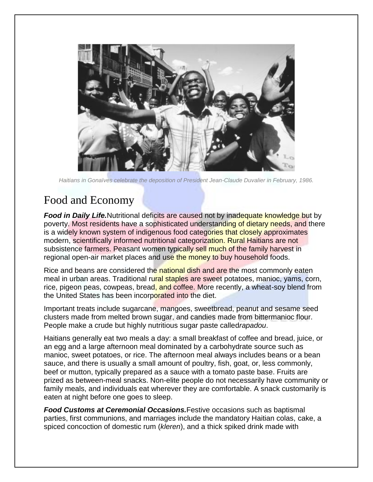

*Haitians in Gonaïves celebrate the deposition of President Jean-Claude Duvalier in February, 1986.*

# Food and Economy

**Food in Daily Life.**Nutritional deficits are caused not by inadequate knowledge but by poverty. Most residents have a sophisticated understanding of dietary needs, and there is a widely known system of indigenous food categories that closely approximates modern, scientifically informed nutritional categorization. Rural Haitians are not subsistence farmers. Peasant women typically sell much of the family harvest in regional open-air market places and use the money to buy household foods.

Rice and beans are considered the national dish and are the most commonly eaten meal in urban areas. Traditional rural staples are sweet potatoes, manioc, yams, corn, rice, pigeon peas, cowpeas, bread, and coffee. More recently, a wheat-soy blend from the United States has been incorporated into the diet.

Important treats include sugarcane, mangoes, sweetbread, peanut and sesame seed clusters made from melted brown sugar, and candies made from bittermanioc flour. People make a crude but highly nutritious sugar paste called*rapadou*.

Haitians generally eat two meals a day: a small breakfast of coffee and bread, juice, or an egg and a large afternoon meal dominated by a carbohydrate source such as manioc, sweet potatoes, or rice. The afternoon meal always includes beans or a bean sauce, and there is usually a small amount of poultry, fish, goat, or, less commonly, beef or mutton, typically prepared as a sauce with a tomato paste base. Fruits are prized as between-meal snacks. Non-elite people do not necessarily have community or family meals, and individuals eat wherever they are comfortable. A snack customarily is eaten at night before one goes to sleep.

*Food Customs at Ceremonial Occasions.*Festive occasions such as baptismal parties, first communions, and marriages include the mandatory Haitian colas, cake, a spiced concoction of domestic rum (*kleren*), and a thick spiked drink made with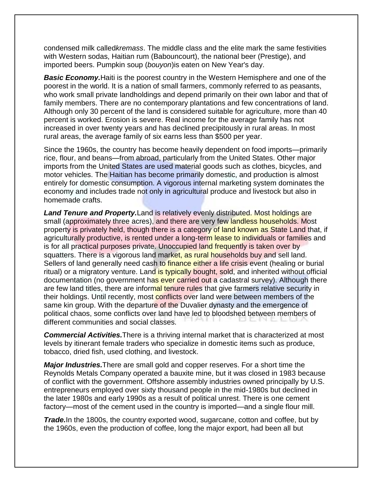condensed milk called*kremass*. The middle class and the elite mark the same festivities with Western sodas, Haitian rum (Babouncourt), the national beer (Prestige), and imported beers. Pumpkin soup (*bouyon*)is eaten on New Year's day.

**Basic Economy.** Haiti is the poorest country in the Western Hemisphere and one of the poorest in the world. It is a nation of small farmers, commonly referred to as peasants, who work small private landholdings and depend primarily on their own labor and that of family members. There are no contemporary plantations and few concentrations of land. Although only 30 percent of the land is considered suitable for agriculture, more than 40 percent is worked. Erosion is severe. Real income for the average family has not increased in over twenty years and has declined precipitously in rural areas. In most rural areas, the average family of six earns less than \$500 per year.

Since the 1960s, the country has become heavily dependent on food imports—primarily rice, flour, and beans—from abroad, particularly from the United States. Other major imports from the United States are used material goods such as clothes, bicycles, and motor vehicles. The Haitian has become primarily domestic, and production is almost entirely for domestic consumption. A vigorous internal marketing system dominates the economy and includes trade not only in agricultural produce and livestock but also in homemade crafts.

*Land Tenure and Property.*Land is relatively evenly distributed. Most holdings are small (approximately three acres), and there are very few landless households. Most property is privately held, though there is a category of land known as State Land that, if agriculturally productive, is rented under a long-term lease to individuals or families and is for all practical purposes private. Unoccupied land frequently is taken over by squatters. There is a vigorous land market, as rural households buy and sell land. Sellers of land generally need cash to finance either a life crisis event (healing or burial ritual) or a migratory venture. Land is typically bought, sold, and inherited without official documentation (no government has ever carried out a cadastral survey). Although there are few land titles, there are informal tenure rules that give farmers relative security in their holdings. Until recently, most conflicts over land were between members of the same kin group. With the departure of the Duvalier dynasty and the emergence of political chaos, some conflicts over land have led to bloodshed between members of different communities and social classes.

*Commercial Activities.*There is a thriving internal market that is characterized at most levels by itinerant female traders who specialize in domestic items such as produce, tobacco, dried fish, used clothing, and livestock.

*Major Industries.*There are small gold and copper reserves. For a short time the Reynolds Metals Company operated a bauxite mine, but it was closed in 1983 because of conflict with the government. Offshore assembly industries owned principally by U.S. entrepreneurs employed over sixty thousand people in the mid-1980s but declined in the later 1980s and early 1990s as a result of political unrest. There is one cement factory—most of the cement used in the country is imported—and a single flour mill.

*Trade.*In the 1800s, the country exported wood, sugarcane, cotton and coffee, but by the 1960s, even the production of coffee, long the major export, had been all but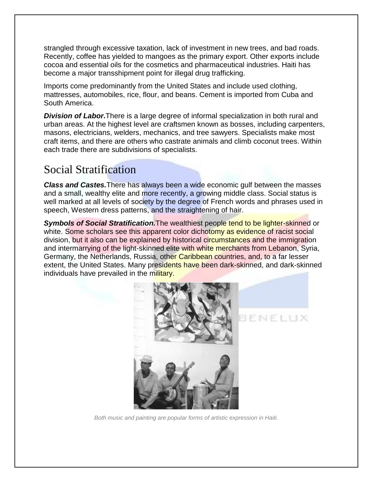strangled through excessive taxation, lack of investment in new trees, and bad roads. Recently, coffee has yielded to mangoes as the primary export. Other exports include cocoa and essential oils for the cosmetics and pharmaceutical industries. Haiti has become a major transshipment point for illegal drug trafficking.

Imports come predominantly from the United States and include used clothing, mattresses, automobiles, rice, flour, and beans. Cement is imported from Cuba and South America.

*Division of Labor.*There is a large degree of informal specialization in both rural and urban areas. At the highest level are craftsmen known as bosses, including carpenters, masons, electricians, welders, mechanics, and tree sawyers. Specialists make most craft items, and there are others who castrate animals and climb coconut trees. Within each trade there are subdivisions of specialists.

#### Social Stratification

*Class and Castes.*There has always been a wide economic gulf between the masses and a small, wealthy elite and more recently, a growing middle class. Social status is well marked at all levels of society by the degree of French words and phrases used in speech, Western dress patterns, and the straightening of hair.

**Symbols of Social Stratification.**The wealthiest people tend to be lighter-skinned or white. Some scholars see this apparent color dichotomy as evidence of racist social division, but it also can be explained by historical circumstances and the immigration and intermarrying of the light-skinned elite with white merchants from Lebanon, Syria, Germany, the Netherlands, Russia, other Caribbean countries, and, to a far lesser extent, the United States. Many presidents have been dark-skinned, and dark-skinned individuals have prevailed in the military.



*Both music and painting are popular forms of artistic expression in Haiti.*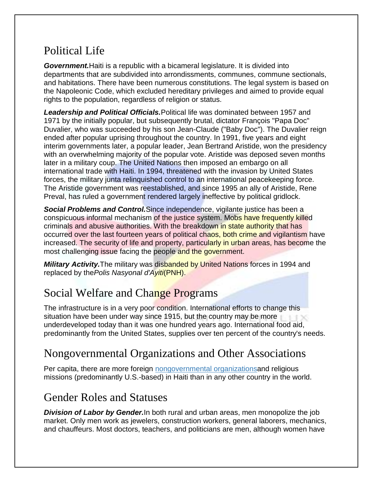# Political Life

*Government.*Haiti is a republic with a bicameral legislature. It is divided into departments that are subdivided into arrondissments, communes, commune sectionals, and habitations. There have been numerous constitutions. The legal system is based on the Napoleonic Code, which excluded hereditary privileges and aimed to provide equal rights to the population, regardless of religion or status.

*Leadership and Political Officials.*Political life was dominated between 1957 and 1971 by the initially popular, but subsequently brutal, dictator François "Papa Doc" Duvalier, who was succeeded by his son Jean-Claude ("Baby Doc"). The Duvalier reign ended after popular uprising throughout the country. In 1991, five years and eight interim governments later, a popular leader, Jean Bertrand Aristide, won the presidency with an overwhelming majority of the popular vote. Aristide was deposed seven months later in a military coup. The United Nations then imposed an embargo on all international trade with Haiti. In 1994, threatened with the invasion by United States forces, the military junta relinquished control to an international peacekeeping force. The Aristide government was reestablished, and since 1995 an ally of Aristide, Rene Preval, has ruled a government rendered largely ineffective by political gridlock.

*Social Problems and Control.*Since independence, vigilante justice has been a conspicuous informal mechanism of the justice system. Mobs have frequently killed criminals and abusive authorities. With the breakdown in state authority that has occurred over the last fourteen years of political chaos, both crime and vigilantism have increased. The security of life and property, particularly in urban areas, has become the most challenging issue facing the people and the government.

*Military Activity.*The military was disbanded by United Nations forces in 1994 and replaced by the*Polis Nasyonal d'Ayiti*(PNH).

# Social Welfare and Change Programs

The infrastructure is in a very poor condition. International efforts to change this situation have been under way since 1915, but the country may be more underdeveloped today than it was one hundred years ago. International food aid, predominantly from the United States, supplies over ten percent of the country's needs.

## Nongovernmental Organizations and Other Associations

Per capita, there are more foreign [nongovernmental organizationsa](http://www.everyculture.com/knowledge/Non_governmental_organization.html)nd religious missions (predominantly U.S.-based) in Haiti than in any other country in the world.

## Gender Roles and Statuses

*Division of Labor by Gender.*In both rural and urban areas, men monopolize the job market. Only men work as jewelers, construction workers, general laborers, mechanics, and chauffeurs. Most doctors, teachers, and politicians are men, although women have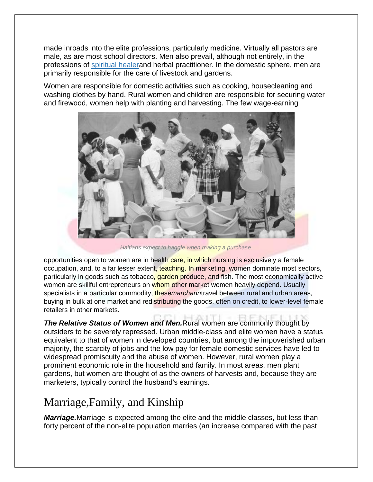made inroads into the elite professions, particularly medicine. Virtually all pastors are male, as are most school directors. Men also prevail, although not entirely, in the professions of [spiritual healera](http://www.everyculture.com/knowledge/Energy_medicine.html)nd herbal practitioner. In the domestic sphere, men are primarily responsible for the care of livestock and gardens.

Women are responsible for domestic activities such as cooking, housecleaning and washing clothes by hand. Rural women and children are responsible for securing water and firewood, women help with planting and harvesting. The few wage-earning



*Haitians expect to haggle when making a purchase.*

opportunities open to women are in health care, in which nursing is exclusively a female occupation, and, to a far lesser extent, teaching. In marketing, women dominate most sectors, particularly in goods such as tobacco, garden produce, and fish. The most economically active women are skillful entrepreneurs on whom other market women heavily depend. Usually specialists in a particular commodity, these*marchann*travel between rural and urban areas, buying in bulk at one market and redistributing the goods, often on credit, to lower-level female retailers in other markets.

*The Relative Status of Women and Men.*Rural women are commonly thought by outsiders to be severely repressed. Urban middle-class and elite women have a status equivalent to that of women in developed countries, but among the impoverished urban majority, the scarcity of jobs and the low pay for female domestic services have led to widespread promiscuity and the abuse of women. However, rural women play a prominent economic role in the household and family. In most areas, men plant gardens, but women are thought of as the owners of harvests and, because they are marketers, typically control the husband's earnings.

## Marriage,Family, and Kinship

*Marriage.*Marriage is expected among the elite and the middle classes, but less than forty percent of the non-elite population marries (an increase compared with the past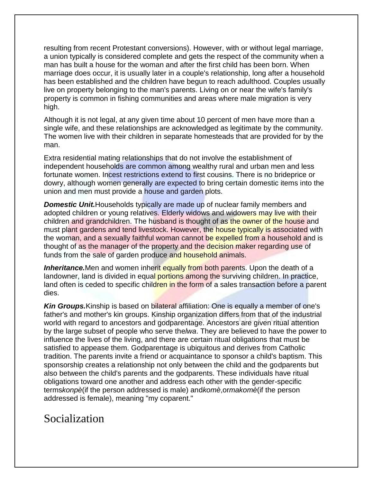resulting from recent Protestant conversions). However, with or without legal marriage, a union typically is considered complete and gets the respect of the community when a man has built a house for the woman and after the first child has been born. When marriage does occur, it is usually later in a couple's relationship, long after a household has been established and the children have begun to reach adulthood. Couples usually live on property belonging to the man's parents. Living on or near the wife's family's property is common in fishing communities and areas where male migration is very high.

Although it is not legal, at any given time about 10 percent of men have more than a single wife, and these relationships are acknowledged as legitimate by the community. The women live with their children in separate homesteads that are provided for by the man.

Extra residential mating relationships that do not involve the establishment of independent households are common among wealthy rural and urban men and less fortunate women. Incest restrictions extend to first cousins. There is no brideprice or dowry, although women generally are expected to bring certain domestic items into the union and men must provide a house and garden plots.

*Domestic Unit.*Households typically are made up of nuclear family members and adopted children or young relatives. Elderly widows and widowers may live with their children and grandchildren. The husband is thought of as the owner of the house and must plant gardens and tend livestock. However, the house typically is associated with the woman, and a sexually faithful woman cannot be expelled from a household and is thought of as the manager of the property and the decision maker regarding use of funds from the sale of garden produce and household animals.

**Inheritance.**Men and women inherit equally from both parents. Upon the death of a landowner, land is divided in equal portions among the surviving children. In practice, land often is ceded to specific children in the form of a sales transaction before a parent dies.

*Kin Groups.*Kinship is based on bilateral affiliation: One is equally a member of one's father's and mother's kin groups. Kinship organization differs from that of the industrial world with regard to ancestors and godparentage. Ancestors are given ritual attention by the large subset of people who serve the*lwa*. They are believed to have the power to influence the lives of the living, and there are certain ritual obligations that must be satisfied to appease them. Godparentage is ubiquitous and derives from Catholic tradition. The parents invite a friend or acquaintance to sponsor a child's baptism. This sponsorship creates a relationship not only between the child and the godparents but also between the child's parents and the godparents. These individuals have ritual obligations toward one another and address each other with the gender-specific terms*konpè*(if the person addressed is male) and*komè*,or*makomè*(if the person addressed is female), meaning "my coparent."

#### Socialization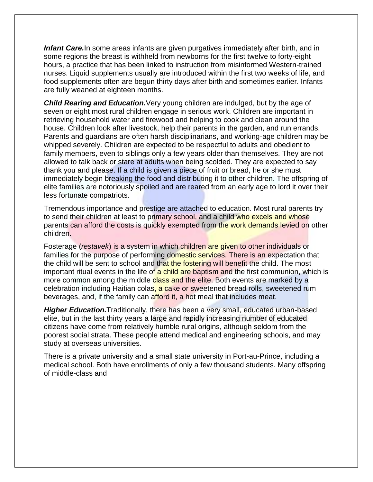*Infant Care.*In some areas infants are given purgatives immediately after birth, and in some regions the breast is withheld from newborns for the first twelve to forty-eight hours, a practice that has been linked to instruction from misinformed Western-trained nurses. Liquid supplements usually are introduced within the first two weeks of life, and food supplements often are begun thirty days after birth and sometimes earlier. Infants are fully weaned at eighteen months.

*Child Rearing and Education.*Very young children are indulged, but by the age of seven or eight most rural children engage in serious work. Children are important in retrieving household water and firewood and helping to cook and clean around the house. Children look after livestock, help their parents in the garden, and run errands. Parents and guardians are often harsh disciplinarians, and working-age children may be whipped severely. Children are expected to be respectful to adults and obedient to family members, even to siblings only a few years older than themselves. They are not allowed to talk back or stare at adults when being scolded. They are expected to say thank you and please. If a child is given a piece of fruit or bread, he or she must immediately begin breaking the food and distributing it to other children. The offspring of elite families are notoriously spoiled and are reared from an early age to lord it over their less fortunate compatriots.

Tremendous importance and prestige are attached to education. Most rural parents try to send their children at least to primary school, and a child who excels and whose parents can afford the costs is quickly exempted from the work demands levied on other children.

Fosterage (*restavek*) is a system in which children are given to other individuals or families for the purpose of performing domestic services. There is an expectation that the child will be sent to school and that the fostering will benefit the child. The most important ritual events in the life of a child are baptism and the first communion, which is more common among the middle class and the elite. Both events are marked by a celebration including Haitian colas, a cake or sweetened bread rolls, sweetened rum beverages, and, if the family can afford it, a hot meal that includes meat.

*Higher Education.*Traditionally, there has been a very small, educated urban-based elite, but in the last thirty years a large and rapidly increasing number of educated citizens have come from relatively humble rural origins, although seldom from the poorest social strata. These people attend medical and engineering schools, and may study at overseas universities.

There is a private university and a small state university in Port-au-Prince, including a medical school. Both have enrollments of only a few thousand students. Many offspring of middle-class and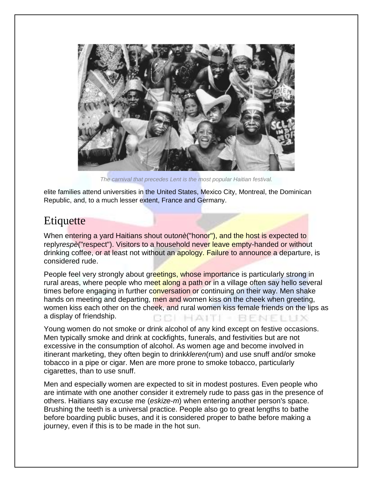

*The carnival that precedes Lent is the most popular Haitian festival.*

elite families attend universities in the United States, Mexico City, Montreal, the Dominican Republic, and, to a much lesser extent, France and Germany.

## **Etiquette**

When entering a yard Haitians shout out*onè*("honor"), and the host is expected to reply*respè*("respect"). Visitors to a household never leave empty-handed or without drinking coffee, or at least not without an apology. Failure to announce a departure, is considered rude.

People feel very strongly about greetings, whose importance is particularly strong in rural areas, where people who meet along a path or in a village often say hello several times before engaging in further conversation or continuing on their way. Men shake hands on meeting and departing, men and women kiss on the cheek when greeting, women kiss each other on the cheek, and rural women kiss female friends on the lips as a display of friendship. GCI HAITI - BENELUX

Young women do not smoke or drink alcohol of any kind except on festive occasions. Men typically smoke and drink at cockfights, funerals, and festivities but are not excessive in the consumption of alcohol. As women age and become involved in itinerant marketing, they often begin to drink*kleren*(rum) and use snuff and/or smoke tobacco in a pipe or cigar. Men are more prone to smoke tobacco, particularly cigarettes, than to use snuff.

Men and especially women are expected to sit in modest postures. Even people who are intimate with one another consider it extremely rude to pass gas in the presence of others. Haitians say excuse me (*eskize-m*) when entering another person's space. Brushing the teeth is a universal practice. People also go to great lengths to bathe before boarding public buses, and it is considered proper to bathe before making a journey, even if this is to be made in the hot sun.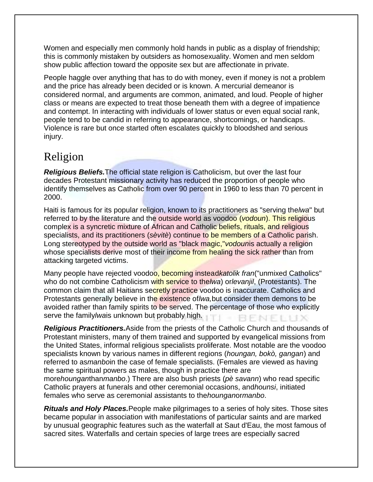Women and especially men commonly hold hands in public as a display of friendship; this is commonly mistaken by outsiders as homosexuality. Women and men seldom show public affection toward the opposite sex but are affectionate in private.

People haggle over anything that has to do with money, even if money is not a problem and the price has already been decided or is known. A mercurial demeanor is considered normal, and arguments are common, animated, and loud. People of higher class or means are expected to treat those beneath them with a degree of impatience and contempt. In interacting with individuals of lower status or even equal social rank, people tend to be candid in referring to appearance, shortcomings, or handicaps. Violence is rare but once started often escalates quickly to bloodshed and serious injury.

## Religion

*Religious Beliefs.*The official state religion is Catholicism, but over the last four decades Protestant missionary activity has reduced the proportion of people who identify themselves as Catholic from over 90 percent in 1960 to less than 70 percent in 2000.

Haiti is famous for its popular religion, known to its practitioners as "serving the*lwa*" but referred to by the literature and the outside world as voodoo (*vodoun*). This religious complex is a syncretic mixture of African and Catholic beliefs, rituals, and religious specialists, and its practitioners (*sèvitè*) continue to be members of a Catholic parish. Long stereotyped by the outside world as "black magic,"*vodoun*is actually a religion whose specialists derive most of their income from healing the sick rather than from attacking targeted victims.

Many people have rejected voodoo, becoming instead*katolik fran*("unmixed Catholics" who do not combine Catholicism with service to the*lwa*) or*levanjil*, (Protestants). The common claim that all Haitians secretly practice voodoo is inaccurate. Catholics and Protestants generally believe in the existence of*lwa,*but consider them demons to be avoided rather than family spirits to be served. The percentage of those who explicitly serve the family*lwa*is unknown but probably high. **BENELIIX** 

*Religious Practitioners.*Aside from the priests of the Catholic Church and thousands of Protestant ministers, many of them trained and supported by evangelical missions from the United States, informal religious specialists proliferate. Most notable are the voodoo specialists known by various names in different regions (*houngan, bokò, gangan*) and referred to as*manbo*in the case of female specialists. (Females are viewed as having the same spiritual powers as males, though in practice there are more*houngan*than*manbo*.) There are also bush priests (*pè savann*) who read specific Catholic prayers at funerals and other ceremonial occasions, and*hounsi*, initiated females who serve as ceremonial assistants to the*houngan*or*manbo*.

*Rituals and Holy Places.*People make pilgrimages to a series of holy sites. Those sites became popular in association with manifestations of particular saints and are marked by unusual geographic features such as the waterfall at Saut d'Eau, the most famous of sacred sites. Waterfalls and certain species of large trees are especially sacred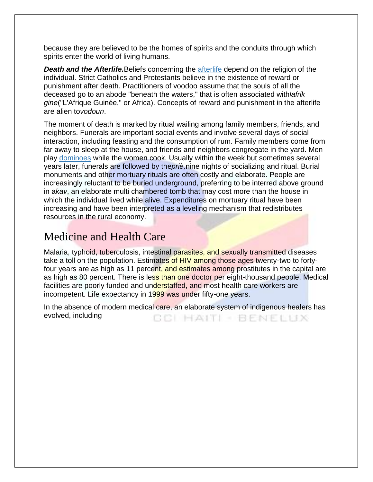because they are believed to be the homes of spirits and the conduits through which spirits enter the world of living humans.

*Death and the Afterlife.*Beliefs concerning the [afterlife](http://www.everyculture.com/knowledge/Afterlife.html) depend on the religion of the individual. Strict Catholics and Protestants believe in the existence of reward or punishment after death. Practitioners of voodoo assume that the souls of all the deceased go to an abode "beneath the waters," that is often associated with*lafrik gine*("L'Afrique Guinée," or Africa). Concepts of reward and punishment in the afterlife are alien to*vodoun*.

The moment of death is marked by ritual wailing among family members, friends, and neighbors. Funerals are important social events and involve several days of social interaction, including feasting and the consumption of rum. Family members come from far away to sleep at the house, and friends and neighbors congregate in the yard. Men play [dominoes](http://www.everyculture.com/knowledge/Dominoes.html) while the women cook. Usually within the week but sometimes several years later, funerals are followed by the*priè,*nine nights of socializing and ritual. Burial monuments and other mortuary rituals are often costly and elaborate. People are increasingly reluctant to be buried underground, preferring to be interred above ground in a*kav*, an elaborate multi chambered tomb that may cost more than the house in which the individual lived while alive. Expenditures on mortuary ritual have been increasing and have been interpreted as a leveling mechanism that redistributes resources in the rural economy.

#### Medicine and Health Care

Malaria, typhoid, tuberculosis, intestinal parasites, and sexually transmitted diseases take a toll on the population. Estimates of HIV among those ages twenty-two to fortyfour years are as high as 11 percent, and estimates among prostitutes in the capital are as high as 80 percent. There is less than one doctor per eight-thousand people. Medical facilities are poorly funded and understaffed, and most health care workers are incompetent. Life expectancy in 1999 was under fifty-one years.

In the absence of modern medical care, an elaborate system of indigenous healers has evolved, including**GCI HAITI - BENELUX**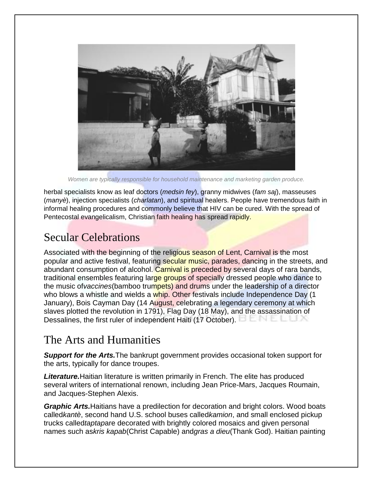

*Women are typically responsible for household maintenance and marketing garden produce.*

herbal specialists know as leaf doctors (*medsin fey*), granny midwives (*fam saj*), masseuses (*manyè*), injection specialists (*charlatan*), and spiritual healers. People have tremendous faith in informal healing procedures and commonly believe that HIV can be cured. With the spread of Pentecostal evangelicalism, Christian faith healing has spread rapidly.

#### Secular Celebrations

Associated with the beginning of the religious season of Lent, Carnival is the most popular and active festival, featuring secular music, parades, dancing in the streets, and abundant consumption of alcohol. Carnival is preceded by several days of rara bands, traditional ensembles featuring large groups of specially dressed people who dance to the music of*vaccines*(bamboo trumpets) and drums under the leadership of a director who blows a whistle and wields a whip. Other festivals include Independence Day (1) January), Bois Cayman Day (14 August, celebrating a legendary ceremony at which slaves plotted the revolution in 1791), Flag Day (18 May), and the assassination of Dessalines, the first ruler of independent Haiti (17 October).

## The Arts and Humanities

*Support for the Arts.*The bankrupt government provides occasional token support for the arts, typically for dance troupes.

*Literature.*Haitian literature is written primarily in French. The elite has produced several writers of international renown, including Jean Price-Mars, Jacques Roumain, and Jacques-Stephen Alexis.

*Graphic Arts.*Haitians have a predilection for decoration and bright colors. Wood boats called*kantè*, second hand U.S. school buses called*kamion*, and small enclosed pickup trucks called*taptap*are decorated with brightly colored mosaics and given personal names such as*kris kapab*(Christ Capable) and*gras a dieu*(Thank God). Haitian painting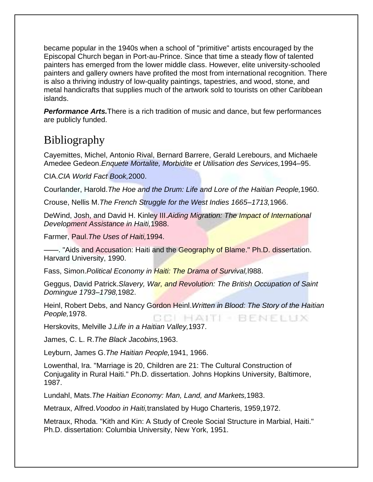became popular in the 1940s when a school of "primitive" artists encouraged by the Episcopal Church began in Port-au-Prince. Since that time a steady flow of talented painters has emerged from the lower middle class. However, elite university-schooled painters and gallery owners have profited the most from international recognition. There is also a thriving industry of low-quality paintings, tapestries, and wood, stone, and metal handicrafts that supplies much of the artwork sold to tourists on other Caribbean islands.

*Performance Arts.*There is a rich tradition of music and dance, but few performances are publicly funded.

## Bibliography

Cayemittes, Michel, Antonio Rival, Bernard Barrere, Gerald Lerebours, and Michaele Amedee Gedeon.*Enquete Mortalite, Morbidite et Utilisation des Services,*1994–95.

CIA.*CIA World Fact Book,*2000.

Courlander, Harold.*The Hoe and the Drum: Life and Lore of the Haitian People,*1960.

Crouse, Nellis M.*The French Struggle for the West Indies 1665–1713,*1966.

DeWind, Josh, and David H. Kinley III.*Aiding Migration: The Impact of International Development Assistance in Haiti,*1988.

Farmer, Paul.*The Uses of Haiti,*1994.

——. "Aids and Accusation: Haiti and the Geography of Blame." Ph.D. dissertation. Harvard University, 1990.

Fass, Simon.*Political Economy in Haiti: The Drama of Survival,*l988.

Geggus, David Patrick.*Slavery, War, and Revolution: The British Occupation of Saint Domingue 1793–1798,*1982.

Heinl, Robert Debs, and Nancy Gordon Heinl.*Written in Blood: The Story of the Haitian People,*1978. ICI HAITI - BENELUX

Herskovits, Melville J.*Life in a Haitian Valley,*1937.

James, C. L. R.*The Black Jacobins,*1963.

Leyburn, James G.*The Haitian People,*1941, 1966.

Lowenthal, Ira. "Marriage is 20, Children are 21: The Cultural Construction of Conjugality in Rural Haiti." Ph.D. dissertation. Johns Hopkins University, Baltimore, 1987.

Lundahl, Mats.*The Haitian Economy: Man, Land, and Markets,*1983.

Metraux, Alfred.*Voodoo in Haiti,*translated by Hugo Charteris, 1959,1972.

Metraux, Rhoda. "Kith and Kin: A Study of Creole Social Structure in Marbial, Haiti." Ph.D. dissertation: Columbia University, New York, 1951.